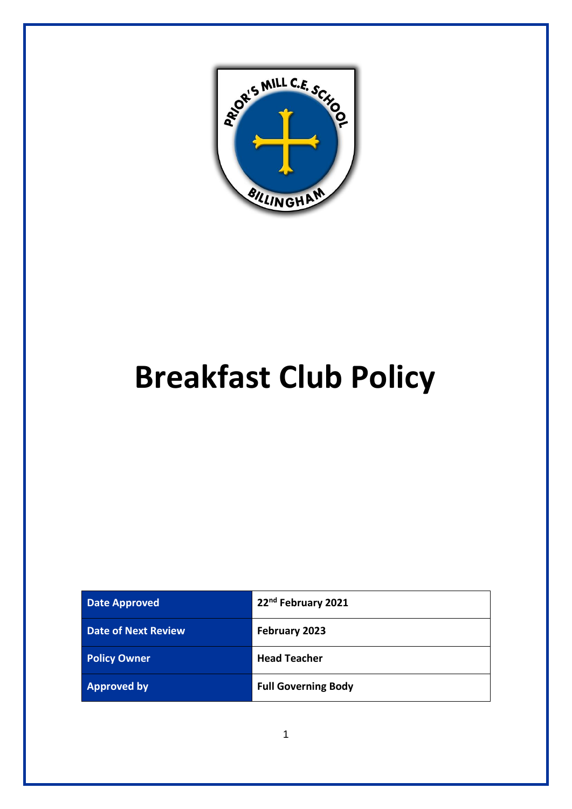

# **Breakfast Club Policy**

| <b>Date Approved</b>       | 22nd February 2021         |
|----------------------------|----------------------------|
| <b>Date of Next Review</b> | February 2023              |
| <b>Policy Owner</b>        | <b>Head Teacher</b>        |
| <b>Approved by</b>         | <b>Full Governing Body</b> |

1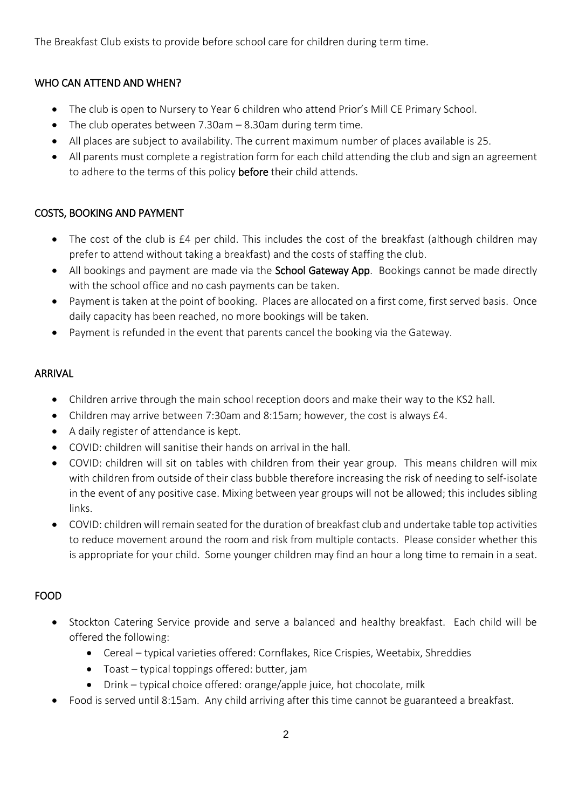The Breakfast Club exists to provide before school care for children during term time.

#### WHO CAN ATTEND AND WHEN?

- The club is open to Nursery to Year 6 children who attend Prior's Mill CE Primary School.
- The club operates between 7.30am 8.30am during term time.
- All places are subject to availability. The current maximum number of places available is 25.
- All parents must complete a registration form for each child attending the club and sign an agreement to adhere to the terms of this policy **before** their child attends.

#### COSTS, BOOKING AND PAYMENT

- The cost of the club is £4 per child. This includes the cost of the breakfast (although children may prefer to attend without taking a breakfast) and the costs of staffing the club.
- All bookings and payment are made via the **School Gateway App**. Bookings cannot be made directly with the school office and no cash payments can be taken.
- Payment is taken at the point of booking. Places are allocated on a first come, first served basis. Once daily capacity has been reached, no more bookings will be taken.
- Payment is refunded in the event that parents cancel the booking via the Gateway.

#### ARRIVAL

- Children arrive through the main school reception doors and make their way to the KS2 hall.
- Children may arrive between 7:30am and 8:15am; however, the cost is always £4.
- A daily register of attendance is kept.
- COVID: children will sanitise their hands on arrival in the hall.
- COVID: children will sit on tables with children from their year group. This means children will mix with children from outside of their class bubble therefore increasing the risk of needing to self-isolate in the event of any positive case. Mixing between year groups will not be allowed; this includes sibling links.
- COVID: children will remain seated for the duration of breakfast club and undertake table top activities to reduce movement around the room and risk from multiple contacts. Please consider whether this is appropriate for your child. Some younger children may find an hour a long time to remain in a seat.

#### FOOD

- Stockton Catering Service provide and serve a balanced and healthy breakfast. Each child will be offered the following:
	- Cereal typical varieties offered: Cornflakes, Rice Crispies, Weetabix, Shreddies
	- Toast typical toppings offered: butter, jam
	- Drink typical choice offered: orange/apple juice, hot chocolate, milk
- Food is served until 8:15am. Any child arriving after this time cannot be guaranteed a breakfast.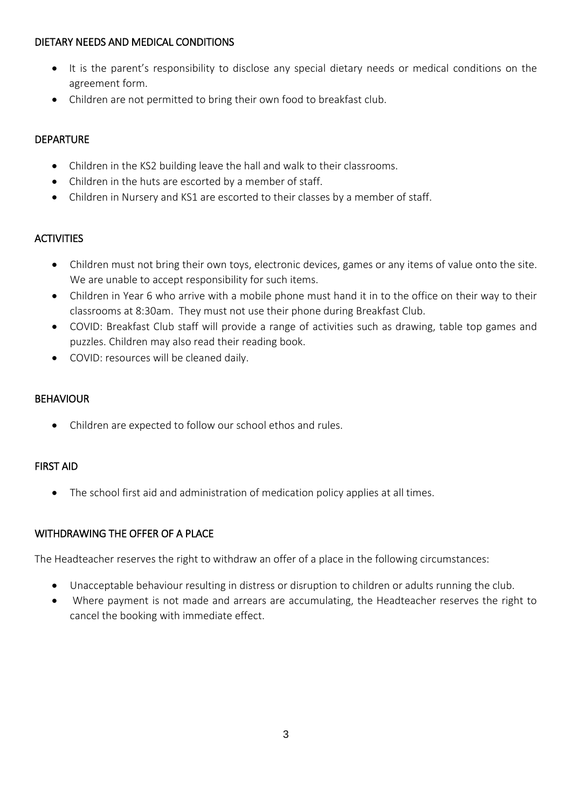#### DIETARY NEEDS AND MEDICAL CONDITIONS

- It is the parent's responsibility to disclose any special dietary needs or medical conditions on the agreement form.
- Children are not permitted to bring their own food to breakfast club.

### DEPARTURE

- Children in the KS2 building leave the hall and walk to their classrooms.
- Children in the huts are escorted by a member of staff.
- Children in Nursery and KS1 are escorted to their classes by a member of staff.

## **ACTIVITIES**

- Children must not bring their own toys, electronic devices, games or any items of value onto the site. We are unable to accept responsibility for such items.
- Children in Year 6 who arrive with a mobile phone must hand it in to the office on their way to their classrooms at 8:30am. They must not use their phone during Breakfast Club.
- COVID: Breakfast Club staff will provide a range of activities such as drawing, table top games and puzzles. Children may also read their reading book.
- COVID: resources will be cleaned daily.

#### BEHAVIOUR

• Children are expected to follow our school ethos and rules.

#### FIRST AID

• The school first aid and administration of medication policy applies at all times.

#### WITHDRAWING THE OFFER OF A PLACE

The Headteacher reserves the right to withdraw an offer of a place in the following circumstances:

- Unacceptable behaviour resulting in distress or disruption to children or adults running the club.
- Where payment is not made and arrears are accumulating, the Headteacher reserves the right to cancel the booking with immediate effect.